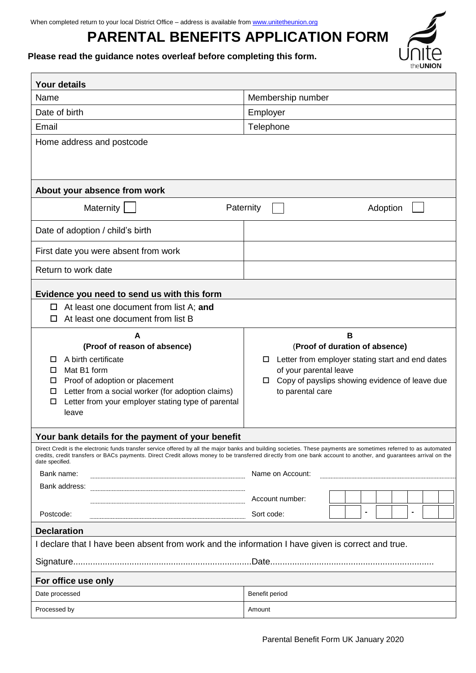# **PARENTAL BENEFITS APPLICATION FORM**

# **Please read the guidance notes overleaf before completing this form.**

| <b>Your details</b>                                                                                                                                                                                                                                                                                                                                                                           |                                                                                                                                                                                                        |  |  |
|-----------------------------------------------------------------------------------------------------------------------------------------------------------------------------------------------------------------------------------------------------------------------------------------------------------------------------------------------------------------------------------------------|--------------------------------------------------------------------------------------------------------------------------------------------------------------------------------------------------------|--|--|
| Name                                                                                                                                                                                                                                                                                                                                                                                          | Membership number                                                                                                                                                                                      |  |  |
| Date of birth                                                                                                                                                                                                                                                                                                                                                                                 | Employer                                                                                                                                                                                               |  |  |
| Email                                                                                                                                                                                                                                                                                                                                                                                         | Telephone                                                                                                                                                                                              |  |  |
| Home address and postcode                                                                                                                                                                                                                                                                                                                                                                     |                                                                                                                                                                                                        |  |  |
|                                                                                                                                                                                                                                                                                                                                                                                               |                                                                                                                                                                                                        |  |  |
| About your absence from work                                                                                                                                                                                                                                                                                                                                                                  |                                                                                                                                                                                                        |  |  |
| Maternity                                                                                                                                                                                                                                                                                                                                                                                     | Paternity<br>Adoption                                                                                                                                                                                  |  |  |
| Date of adoption / child's birth                                                                                                                                                                                                                                                                                                                                                              |                                                                                                                                                                                                        |  |  |
| First date you were absent from work                                                                                                                                                                                                                                                                                                                                                          |                                                                                                                                                                                                        |  |  |
| Return to work date                                                                                                                                                                                                                                                                                                                                                                           |                                                                                                                                                                                                        |  |  |
| Evidence you need to send us with this form                                                                                                                                                                                                                                                                                                                                                   |                                                                                                                                                                                                        |  |  |
| $\Box$ At least one document from list A; and<br>At least one document from list B                                                                                                                                                                                                                                                                                                            |                                                                                                                                                                                                        |  |  |
| A<br>(Proof of reason of absence)<br>A birth certificate<br>□<br>Mat B1 form<br>□<br>Proof of adoption or placement<br>□<br>Letter from a social worker (for adoption claims)<br>□<br>Letter from your employer stating type of parental<br>$\Box$<br>leave                                                                                                                                   | B<br>(Proof of duration of absence)<br>Letter from employer stating start and end dates<br>◻<br>of your parental leave<br>Copy of payslips showing evidence of leave due<br>$\Box$<br>to parental care |  |  |
| Your bank details for the payment of your benefit                                                                                                                                                                                                                                                                                                                                             |                                                                                                                                                                                                        |  |  |
| Direct Credit is the electronic funds transfer service offered by all the major banks and building societies. These payments are sometimes referred to as automated<br>credits, credit transfers or BACs payments. Direct Credit allows money to be transferred directly from one bank account to another, and guarantees arrival on the<br>date specified.<br>Bank name:<br>Name on Account: |                                                                                                                                                                                                        |  |  |
| Bank address:                                                                                                                                                                                                                                                                                                                                                                                 |                                                                                                                                                                                                        |  |  |
| Postcode:                                                                                                                                                                                                                                                                                                                                                                                     | Account number:<br>$\blacksquare$<br>$\blacksquare$<br>Sort code:                                                                                                                                      |  |  |
| <b>Declaration</b>                                                                                                                                                                                                                                                                                                                                                                            |                                                                                                                                                                                                        |  |  |
| I declare that I have been absent from work and the information I have given is correct and true.                                                                                                                                                                                                                                                                                             |                                                                                                                                                                                                        |  |  |
|                                                                                                                                                                                                                                                                                                                                                                                               |                                                                                                                                                                                                        |  |  |
| For office use only                                                                                                                                                                                                                                                                                                                                                                           |                                                                                                                                                                                                        |  |  |
| Date processed                                                                                                                                                                                                                                                                                                                                                                                | Benefit period                                                                                                                                                                                         |  |  |
| Processed by                                                                                                                                                                                                                                                                                                                                                                                  | Amount                                                                                                                                                                                                 |  |  |